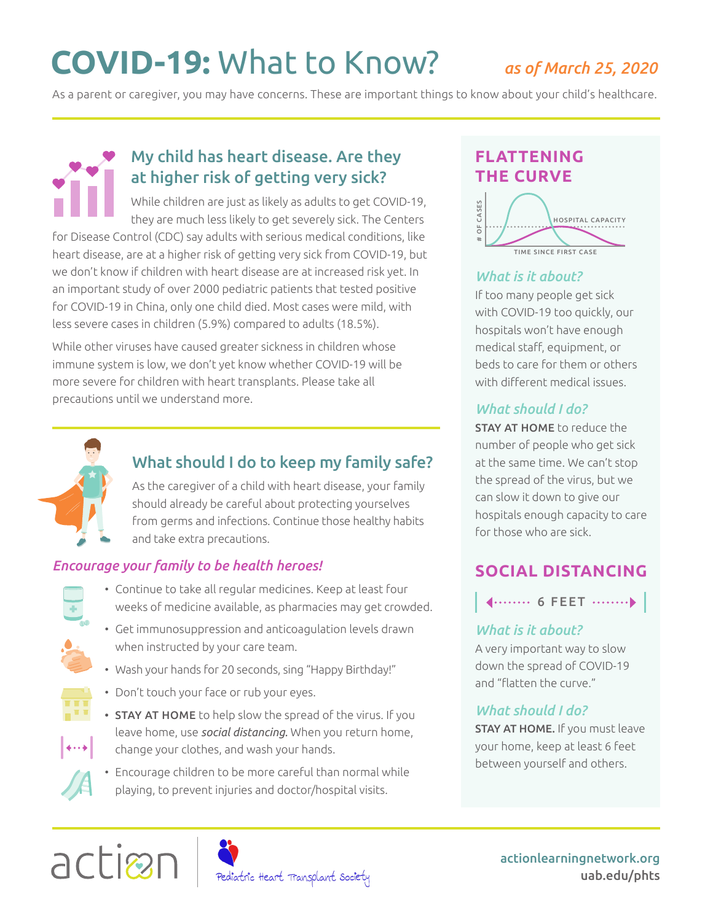# **COVID-19:** What to Know? *as of March 25, 2020*

As a parent or caregiver, you may have concerns. These are important things to know about your child's healthcare.

# My child has heart disease. Are they at higher risk of getting very sick?

While children are just as likely as adults to get COVID-19, they are much less likely to get severely sick. The Centers for Disease Control (CDC) say adults with serious medical conditions, like heart disease, are at a higher risk of getting very sick from COVID-19, but we don't know if children with heart disease are at increased risk yet. In an important study of over 2000 pediatric patients that tested positive for COVID-19 in China, only one child died. Most cases were mild, with less severe cases in children (5.9%) compared to adults (18.5%).

While other viruses have caused greater sickness in children whose immune system is low, we don't yet know whether COVID-19 will be more severe for children with heart transplants. Please take all precautions until we understand more.



# What should I do to keep my family safe?

As the caregiver of a child with heart disease, your family should already be careful about protecting yourselves from germs and infections. Continue those healthy habits and take extra precautions.

#### *Encourage your family to be health heroes!*



- Continue to take all regular medicines. Keep at least four weeks of medicine available, as pharmacies may get crowded.
- Get immunosuppression and anticoagulation levels drawn when instructed by your care team.
- Wash your hands for 20 seconds, sing "Happy Birthday!"
- 

 $\leftrightarrow$ 

- Don't touch your face or rub your eyes.
- STAY AT HOME to help slow the spread of the virus. If you leave home, use *social distancing.* When you return home, change your clothes, and wash your hands.
- Encourage children to be more careful than normal while playing, to prevent injuries and doctor/hospital visits.

# **FLATTENING THE CURVE**



#### *What is it about?*

If too many people get sick with COVID-19 too quickly, our hospitals won't have enough medical staff, equipment, or beds to care for them or others with different medical issues.

#### *What should I do?*

STAY AT HOME to reduce the number of people who get sick at the same time. We can't stop the spread of the virus, but we can slow it down to give our hospitals enough capacity to care for those who are sick.

# **SOCIAL DISTANCING**

**4........ 6 FEET ...........** 

#### *What is it about?*

A very important way to slow down the spread of COVID-19 and "flatten the curve."

#### *What should I do?*

**STAY AT HOME.** If you must leave your home, keep at least 6 feet between yourself and others.





Pediatric Heart Transplant Society